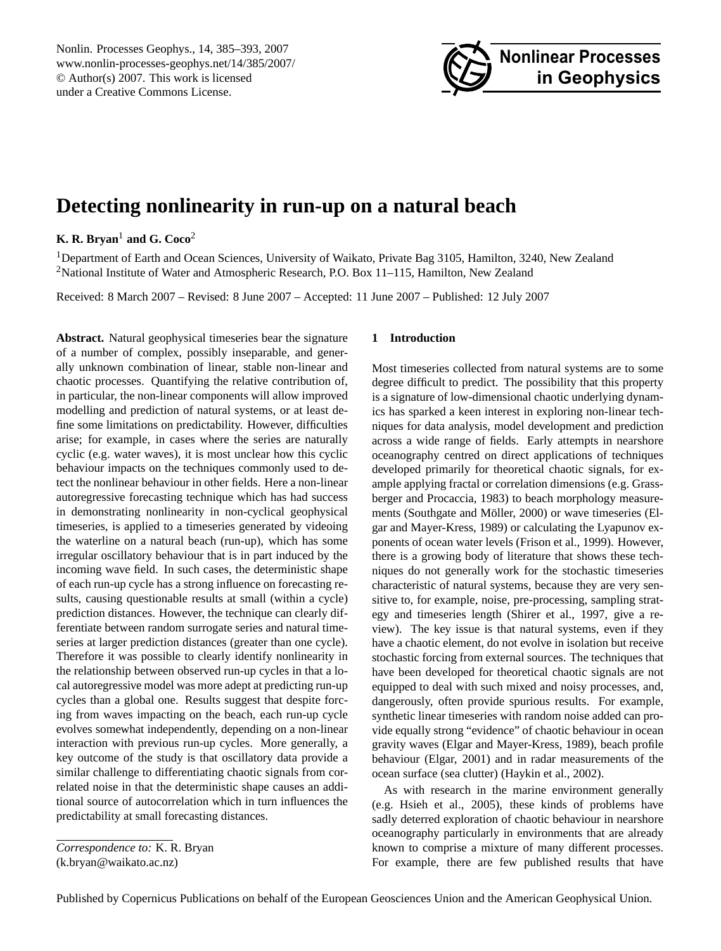<span id="page-0-0"></span>Nonlin. Processes Geophys., 14, 385–393, 2007 www.nonlin-processes-geophys.net/14/385/2007/ © Author(s) 2007. This work is licensed under a Creative Commons License.



# **Detecting nonlinearity in run-up on a natural beach**

## **K. R. Bryan**<sup>1</sup> **and G. Coco**<sup>2</sup>

<sup>1</sup>Department of Earth and Ocean Sciences, University of Waikato, Private Bag 3105, Hamilton, 3240, New Zealand <sup>2</sup>National Institute of Water and Atmospheric Research, P.O. Box 11–115, Hamilton, New Zealand

Received: 8 March 2007 – Revised: 8 June 2007 – Accepted: 11 June 2007 – Published: 12 July 2007

**Abstract.** Natural geophysical timeseries bear the signature of a number of complex, possibly inseparable, and generally unknown combination of linear, stable non-linear and chaotic processes. Quantifying the relative contribution of, in particular, the non-linear components will allow improved modelling and prediction of natural systems, or at least define some limitations on predictability. However, difficulties arise; for example, in cases where the series are naturally cyclic (e.g. water waves), it is most unclear how this cyclic behaviour impacts on the techniques commonly used to detect the nonlinear behaviour in other fields. Here a non-linear autoregressive forecasting technique which has had success in demonstrating nonlinearity in non-cyclical geophysical timeseries, is applied to a timeseries generated by videoing the waterline on a natural beach (run-up), which has some irregular oscillatory behaviour that is in part induced by the incoming wave field. In such cases, the deterministic shape of each run-up cycle has a strong influence on forecasting results, causing questionable results at small (within a cycle) prediction distances. However, the technique can clearly differentiate between random surrogate series and natural timeseries at larger prediction distances (greater than one cycle). Therefore it was possible to clearly identify nonlinearity in the relationship between observed run-up cycles in that a local autoregressive model was more adept at predicting run-up cycles than a global one. Results suggest that despite forcing from waves impacting on the beach, each run-up cycle evolves somewhat independently, depending on a non-linear interaction with previous run-up cycles. More generally, a key outcome of the study is that oscillatory data provide a similar challenge to differentiating chaotic signals from correlated noise in that the deterministic shape causes an additional source of autocorrelation which in turn influences the predictability at small forecasting distances.

#### **1 Introduction**

Most timeseries collected from natural systems are to some degree difficult to predict. The possibility that this property is a signature of low-dimensional chaotic underlying dynamics has sparked a keen interest in exploring non-linear techniques for data analysis, model development and prediction across a wide range of fields. Early attempts in nearshore oceanography centred on direct applications of techniques developed primarily for theoretical chaotic signals, for example applying fractal or correlation dimensions (e.g. Grassberger and Procaccia, 1983) to beach morphology measurements (Southgate and Möller, 2000) or wave timeseries (Elgar and Mayer-Kress, 1989) or calculating the Lyapunov exponents of ocean water levels (Frison et al., 1999). However, there is a growing body of literature that shows these techniques do not generally work for the stochastic timeseries characteristic of natural systems, because they are very sensitive to, for example, noise, pre-processing, sampling strategy and timeseries length (Shirer et al., 1997, give a review). The key issue is that natural systems, even if they have a chaotic element, do not evolve in isolation but receive stochastic forcing from external sources. The techniques that have been developed for theoretical chaotic signals are not equipped to deal with such mixed and noisy processes, and, dangerously, often provide spurious results. For example, synthetic linear timeseries with random noise added can provide equally strong "evidence" of chaotic behaviour in ocean gravity waves (Elgar and Mayer-Kress, 1989), beach profile behaviour (Elgar, 2001) and in radar measurements of the ocean surface (sea clutter) (Haykin et al., 2002).

As with research in the marine environment generally (e.g. Hsieh et al., 2005), these kinds of problems have sadly deterred exploration of chaotic behaviour in nearshore oceanography particularly in environments that are already known to comprise a mixture of many different processes. For example, there are few published results that have

*Correspondence to:* K. R. Bryan

<sup>(</sup>k.bryan@waikato.ac.nz)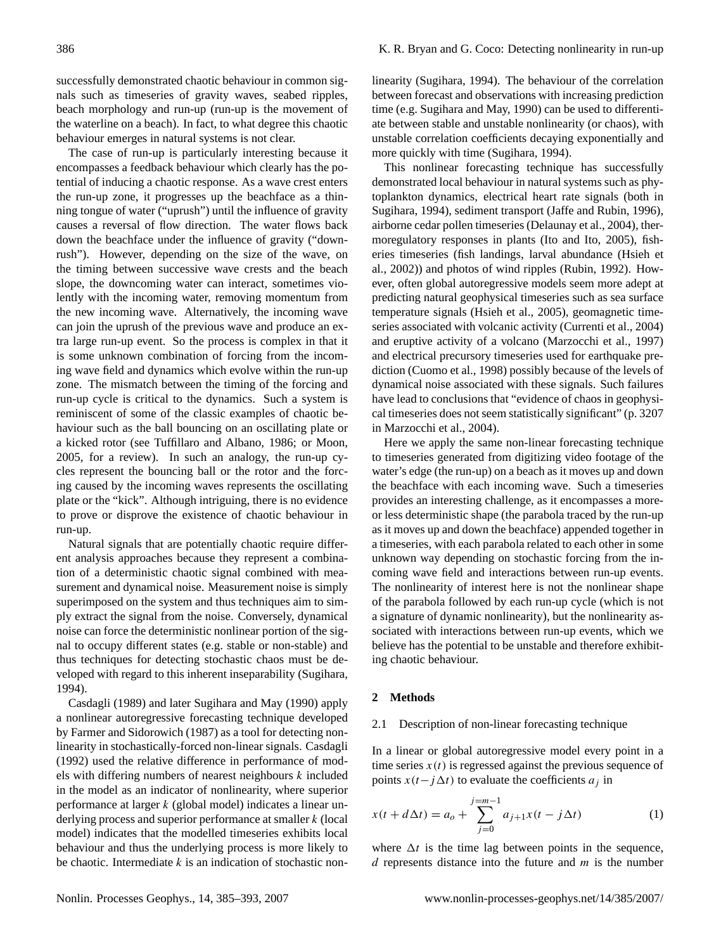successfully demonstrated chaotic behaviour in common signals such as timeseries of gravity waves, seabed ripples, beach morphology and run-up (run-up is the movement of the waterline on a beach). In fact, to what degree this chaotic behaviour emerges in natural systems is not clear.

The case of run-up is particularly interesting because it encompasses a feedback behaviour which clearly has the potential of inducing a chaotic response. As a wave crest enters the run-up zone, it progresses up the beachface as a thinning tongue of water ("uprush") until the influence of gravity causes a reversal of flow direction. The water flows back down the beachface under the influence of gravity ("downrush"). However, depending on the size of the wave, on the timing between successive wave crests and the beach slope, the downcoming water can interact, sometimes violently with the incoming water, removing momentum from the new incoming wave. Alternatively, the incoming wave can join the uprush of the previous wave and produce an extra large run-up event. So the process is complex in that it is some unknown combination of forcing from the incoming wave field and dynamics which evolve within the run-up zone. The mismatch between the timing of the forcing and run-up cycle is critical to the dynamics. Such a system is reminiscent of some of the classic examples of chaotic behaviour such as the ball bouncing on an oscillating plate or a kicked rotor (see Tuffillaro and Albano, 1986; or Moon, 2005, for a review). In such an analogy, the run-up cycles represent the bouncing ball or the rotor and the forcing caused by the incoming waves represents the oscillating plate or the "kick". Although intriguing, there is no evidence to prove or disprove the existence of chaotic behaviour in run-up.

Natural signals that are potentially chaotic require different analysis approaches because they represent a combination of a deterministic chaotic signal combined with measurement and dynamical noise. Measurement noise is simply superimposed on the system and thus techniques aim to simply extract the signal from the noise. Conversely, dynamical noise can force the deterministic nonlinear portion of the signal to occupy different states (e.g. stable or non-stable) and thus techniques for detecting stochastic chaos must be developed with regard to this inherent inseparability (Sugihara, 1994).

Casdagli (1989) and later Sugihara and May (1990) apply a nonlinear autoregressive forecasting technique developed by Farmer and Sidorowich (1987) as a tool for detecting nonlinearity in stochastically-forced non-linear signals. Casdagli (1992) used the relative difference in performance of models with differing numbers of nearest neighbours k included in the model as an indicator of nonlinearity, where superior performance at larger k (global model) indicates a linear underlying process and superior performance at smaller  $k$  (local model) indicates that the modelled timeseries exhibits local behaviour and thus the underlying process is more likely to be chaotic. Intermediate  $k$  is an indication of stochastic non-

linearity (Sugihara, 1994). The behaviour of the correlation between forecast and observations with increasing prediction time (e.g. Sugihara and May, 1990) can be used to differentiate between stable and unstable nonlinearity (or chaos), with unstable correlation coefficients decaying exponentially and more quickly with time (Sugihara, 1994).

This nonlinear forecasting technique has successfully demonstrated local behaviour in natural systems such as phytoplankton dynamics, electrical heart rate signals (both in Sugihara, 1994), sediment transport (Jaffe and Rubin, 1996), airborne cedar pollen timeseries (Delaunay et al., 2004), thermoregulatory responses in plants (Ito and Ito, 2005), fisheries timeseries (fish landings, larval abundance (Hsieh et al., 2002)) and photos of wind ripples (Rubin, 1992). However, often global autoregressive models seem more adept at predicting natural geophysical timeseries such as sea surface temperature signals (Hsieh et al., 2005), geomagnetic timeseries associated with volcanic activity (Currenti et al., 2004) and eruptive activity of a volcano (Marzocchi et al., 1997) and electrical precursory timeseries used for earthquake prediction (Cuomo et al., 1998) possibly because of the levels of dynamical noise associated with these signals. Such failures have lead to conclusions that "evidence of chaos in geophysical timeseries does not seem statistically significant" (p. 3207 in Marzocchi et al., 2004).

Here we apply the same non-linear forecasting technique to timeseries generated from digitizing video footage of the water's edge (the run-up) on a beach as it moves up and down the beachface with each incoming wave. Such a timeseries provides an interesting challenge, as it encompasses a moreor less deterministic shape (the parabola traced by the run-up as it moves up and down the beachface) appended together in a timeseries, with each parabola related to each other in some unknown way depending on stochastic forcing from the incoming wave field and interactions between run-up events. The nonlinearity of interest here is not the nonlinear shape of the parabola followed by each run-up cycle (which is not a signature of dynamic nonlinearity), but the nonlinearity associated with interactions between run-up events, which we believe has the potential to be unstable and therefore exhibiting chaotic behaviour.

## **2 Methods**

### 2.1 Description of non-linear forecasting technique

In a linear or global autoregressive model every point in a time series  $x(t)$  is regressed against the previous sequence of points  $x(t-j\Delta t)$  to evaluate the coefficients  $a_i$  in

$$
x(t + d\Delta t) = a_o + \sum_{j=0}^{j=m-1} a_{j+1}x(t - j\Delta t)
$$
 (1)

where  $\Delta t$  is the time lag between points in the sequence,  $d$  represents distance into the future and  $m$  is the number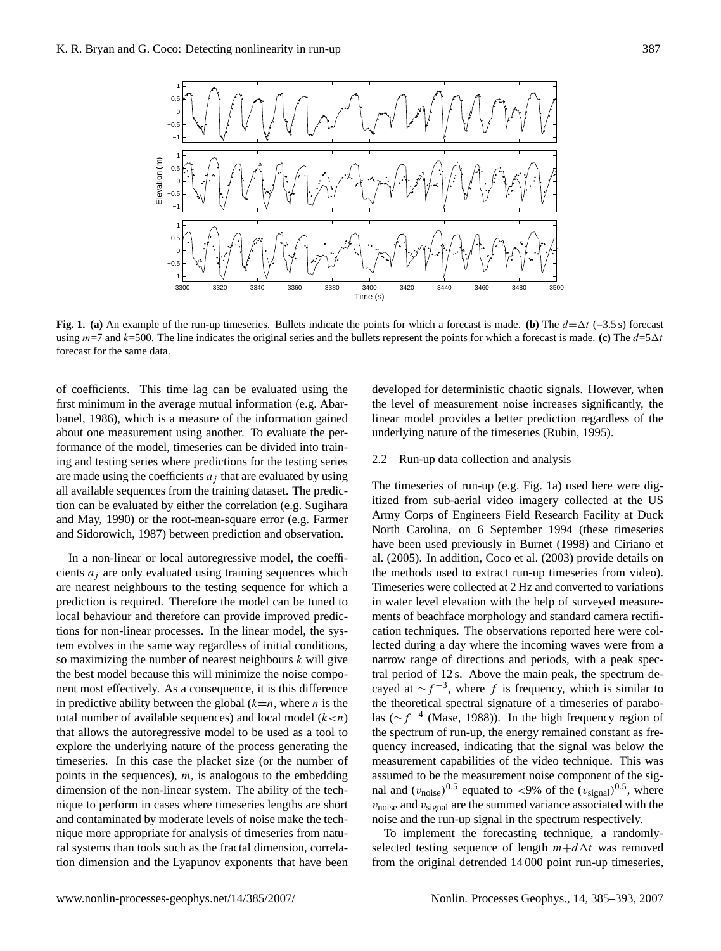

**Fig. 1. (a)** An example of the run-up timeseries. Bullets indicate the points for which a forecast is made. **(b)** The  $d = \Delta t$  (=3.5 s) forecast using  $m=7$  and  $k=500$ . The line indicates the original series and the bullets represent the points for which a forecast is made. **(c)** The  $d=5\Delta t$ forecast for the same data.

of coefficients. This time lag can be evaluated using the first minimum in the average mutual information (e.g. Abarbanel, 1986), which is a measure of the information gained about one measurement using another. To evaluate the performance of the model, timeseries can be divided into training and testing series where predictions for the testing series are made using the coefficients  $a_j$  that are evaluated by using all available sequences from the training dataset. The prediction can be evaluated by either the correlation (e.g. Sugihara and May, 1990) or the root-mean-square error (e.g. Farmer and Sidorowich, 1987) between prediction and observation.

In a non-linear or local autoregressive model, the coefficients  $a_i$  are only evaluated using training sequences which are nearest neighbours to the testing sequence for which a prediction is required. Therefore the model can be tuned to local behaviour and therefore can provide improved predictions for non-linear processes. In the linear model, the system evolves in the same way regardless of initial conditions, so maximizing the number of nearest neighbours  $k$  will give the best model because this will minimize the noise component most effectively. As a consequence, it is this difference in predictive ability between the global  $(k=n,$  where *n* is the total number of available sequences) and local model  $(k < n)$ that allows the autoregressive model to be used as a tool to explore the underlying nature of the process generating the timeseries. In this case the placket size (or the number of points in the sequences),  $m$ , is analogous to the embedding dimension of the non-linear system. The ability of the technique to perform in cases where timeseries lengths are short and contaminated by moderate levels of noise make the technique more appropriate for analysis of timeseries from natural systems than tools such as the fractal dimension, correlation dimension and the Lyapunov exponents that have been

developed for deterministic chaotic signals. However, when the level of measurement noise increases significantly, the linear model provides a better prediction regardless of the underlying nature of the timeseries (Rubin, 1995).

#### 2.2 Run-up data collection and analysis

The timeseries of run-up (e.g. Fig. 1a) used here were digitized from sub-aerial video imagery collected at the US Army Corps of Engineers Field Research Facility at Duck North Carolina, on 6 September 1994 (these timeseries have been used previously in Burnet (1998) and Ciriano et al. (2005). In addition, Coco et al. (2003) provide details on the methods used to extract run-up timeseries from video). Timeseries were collected at 2 Hz and converted to variations in water level elevation with the help of surveyed measurements of beachface morphology and standard camera rectification techniques. The observations reported here were collected during a day where the incoming waves were from a narrow range of directions and periods, with a peak spectral period of 12 s. Above the main peak, the spectrum decayed at  $\sim f^{-3}$ , where f is frequency, which is similar to the theoretical spectral signature of a timeseries of parabolas ( $\sim f^{-4}$  (Mase, 1988)). In the high frequency region of the spectrum of run-up, the energy remained constant as frequency increased, indicating that the signal was below the measurement capabilities of the video technique. This was assumed to be the measurement noise component of the signal and  $(v_{\text{noise}})^{0.5}$  equated to <9% of the  $(v_{\text{signal}})^{0.5}$ , where  $v_{\text{noise}}$  and  $v_{\text{signal}}$  are the summed variance associated with the noise and the run-up signal in the spectrum respectively.

To implement the forecasting technique, a randomlyselected testing sequence of length  $m+d\Delta t$  was removed from the original detrended 14 000 point run-up timeseries,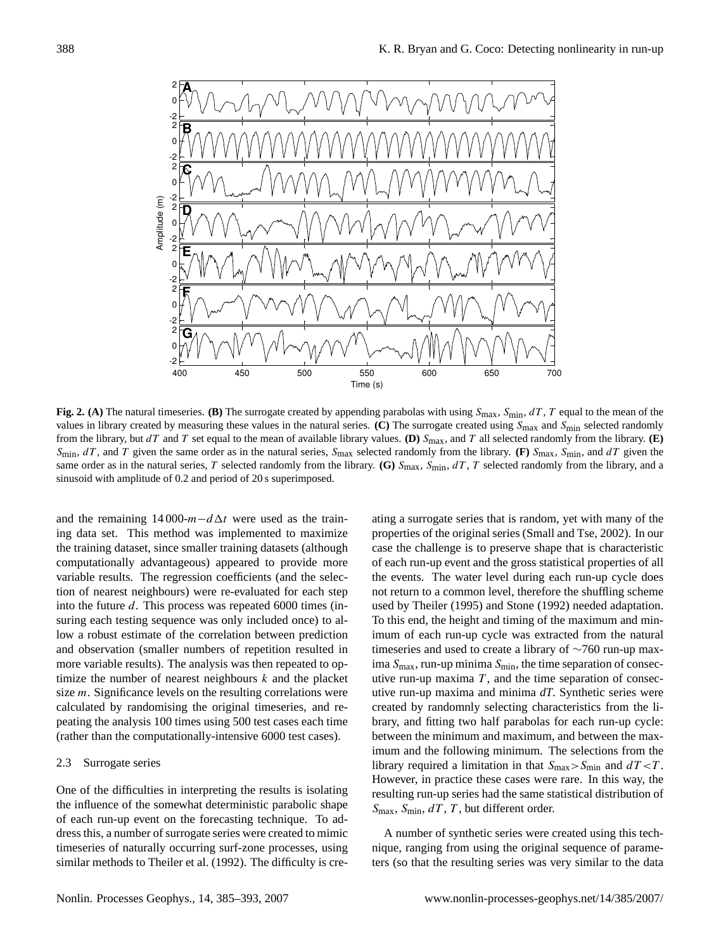

**Fig. 2.** (A) The natural timeseries. **(B)** The surrogate created by appending parabolas with using  $S_{\text{max}}$ ,  $S_{\text{min}}$ ,  $dT$ ,  $T$  equal to the mean of the values in library created by measuring these values in the natural series. **(C)** The surrogate created using Smax and Smin selected randomly from the library, but  $dT$  and  $T$  set equal to the mean of available library values. **(D)**  $S_{\text{max}}$ , and  $T$  all selected randomly from the library. **(E)**  $S_{\text{min}}$ , dT, and T given the same order as in the natural series,  $S_{\text{max}}$  selected randomly from the library. (F)  $S_{\text{max}}$ ,  $S_{\text{min}}$ , and dT given the same order as in the natural series, T selected randomly from the library. **(G)**  $S_{\text{max}}$ ,  $S_{\text{min}}$ ,  $dT$ , T selected randomly from the library, and a sinusoid with amplitude of 0.2 and period of 20 s superimposed.

and the remaining 14 000- $m-d\Delta t$  were used as the training data set. This method was implemented to maximize the training dataset, since smaller training datasets (although computationally advantageous) appeared to provide more variable results. The regression coefficients (and the selection of nearest neighbours) were re-evaluated for each step into the future d. This process was repeated 6000 times (insuring each testing sequence was only included once) to allow a robust estimate of the correlation between prediction and observation (smaller numbers of repetition resulted in more variable results). The analysis was then repeated to optimize the number of nearest neighbours  $k$  and the placket size *m*. Significance levels on the resulting correlations were calculated by randomising the original timeseries, and repeating the analysis 100 times using 500 test cases each time (rather than the computationally-intensive 6000 test cases).

## 2.3 Surrogate series

One of the difficulties in interpreting the results is isolating the influence of the somewhat deterministic parabolic shape of each run-up event on the forecasting technique. To address this, a number of surrogate series were created to mimic timeseries of naturally occurring surf-zone processes, using similar methods to Theiler et al. (1992). The difficulty is cre-

ating a surrogate series that is random, yet with many of the properties of the original series (Small and Tse, 2002). In our case the challenge is to preserve shape that is characteristic of each run-up event and the gross statistical properties of all the events. The water level during each run-up cycle does not return to a common level, therefore the shuffling scheme used by Theiler (1995) and Stone (1992) needed adaptation. To this end, the height and timing of the maximum and minimum of each run-up cycle was extracted from the natural timeseries and used to create a library of ∼760 run-up maxima  $S_{\text{max}}$ , run-up minima  $S_{\text{min}}$ , the time separation of consecutive run-up maxima  $T$ , and the time separation of consecutive run-up maxima and minima *dT*. Synthetic series were created by randomnly selecting characteristics from the library, and fitting two half parabolas for each run-up cycle: between the minimum and maximum, and between the maximum and the following minimum. The selections from the library required a limitation in that  $S_{\text{max}} > S_{\text{min}}$  and  $dT < T$ . However, in practice these cases were rare. In this way, the resulting run-up series had the same statistical distribution of  $S_{\text{max}}$ ,  $S_{\text{min}}$ ,  $dT$ ,  $T$ , but different order.

A number of synthetic series were created using this technique, ranging from using the original sequence of parameters (so that the resulting series was very similar to the data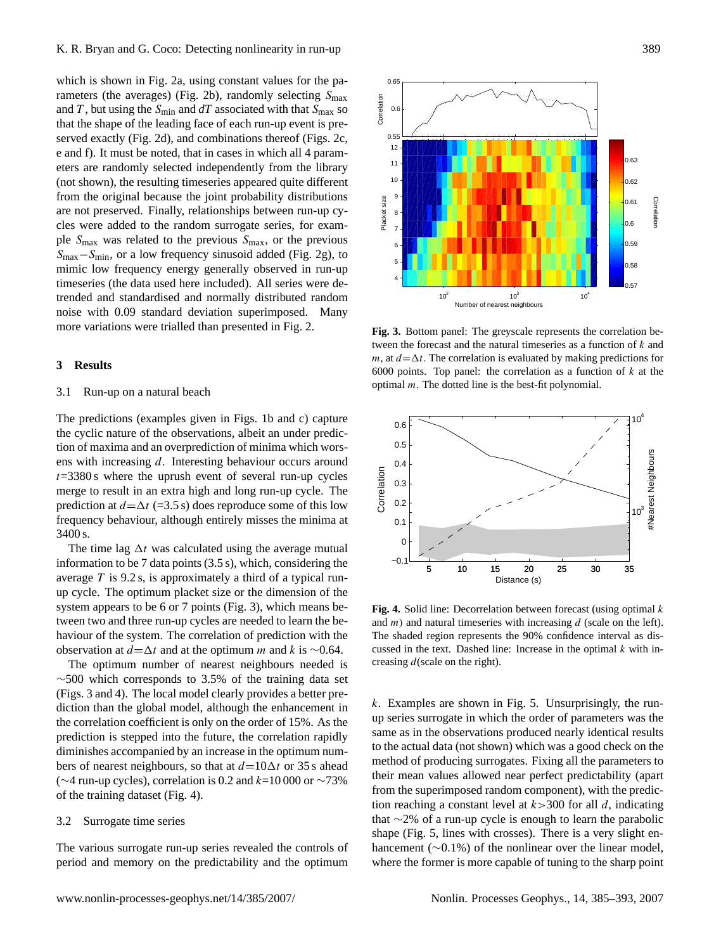which is shown in Fig. 2a, using constant values for the parameters (the averages) (Fig. 2b), randomly selecting  $S_{\text{max}}$ and T, but using the  $S_{\text{min}}$  and  $dT$  associated with that  $S_{\text{max}}$  so that the shape of the leading face of each run-up event is preserved exactly (Fig. 2d), and combinations thereof (Figs. 2c, e and f). It must be noted, that in cases in which all 4 parameters are randomly selected independently from the library (not shown), the resulting timeseries appeared quite different from the original because the joint probability distributions are not preserved. Finally, relationships between run-up cycles were added to the random surrogate series, for example  $S_{\text{max}}$  was related to the previous  $S_{\text{max}}$ , or the previous Smax−Smin, or a low frequency sinusoid added (Fig. 2g), to mimic low frequency energy generally observed in run-up timeseries (the data used here included). All series were detrended and standardised and normally distributed random noise with 0.09 standard deviation superimposed. Many more variations were trialled than presented in Fig. 2.

### **3 Results**

#### 3.1 Run-up on a natural beach

The predictions (examples given in Figs. 1b and c) capture the cyclic nature of the observations, albeit an under prediction of maxima and an overprediction of minima which worsens with increasing d. Interesting behaviour occurs around  $t=3380$  s where the uprush event of several run-up cycles merge to result in an extra high and long run-up cycle. The prediction at  $d=\Delta t$  (=3.5 s) does reproduce some of this low frequency behaviour, although entirely misses the minima at 3400 s.

The time lag  $\Delta t$  was calculated using the average mutual information to be 7 data points (3.5 s), which, considering the average  $T$  is 9.2 s, is approximately a third of a typical runup cycle. The optimum placket size or the dimension of the system appears to be 6 or 7 points (Fig. 3), which means between two and three run-up cycles are needed to learn the behaviour of the system. The correlation of prediction with the observation at  $d=\Delta t$  and at the optimum m and k is ~0.64.

The optimum number of nearest neighbours needed is  $~\sim$ 500 which corresponds to 3.5% of the training data set (Figs. 3 and 4). The local model clearly provides a better prediction than the global model, although the enhancement in the correlation coefficient is only on the order of 15%. As the prediction is stepped into the future, the correlation rapidly diminishes accompanied by an increase in the optimum numbers of nearest neighbours, so that at  $d=10\Delta t$  or 35 s ahead ( $\sim$ 4 run-up cycles), correlation is 0.2 and k=10 000 or  $\sim$ 73% of the training dataset (Fig. 4).

#### 3.2 Surrogate time series

The various surrogate run-up series revealed the controls of period and memory on the predictability and the optimum



**Fig. 3.** Bottom panel: The greyscale represents the correlation between the forecast and the natural timeseries as a function of k and m, at  $d=\Delta t$ . The correlation is evaluated by making predictions for 6000 points. Top panel: the correlation as a function of  $k$  at the optimal  $m$ . The dotted line is the best-fit polynomial.



**Fig. 4.** Solid line: Decorrelation between forecast (using optimal k and  $m$ ) and natural timeseries with increasing  $d$  (scale on the left). The shaded region represents the 90% confidence interval as discussed in the text. Dashed line: Increase in the optimal  $k$  with increasing  $d$  (scale on the right).

 $k$ . Examples are shown in Fig. 5. Unsurprisingly, the runup series surrogate in which the order of parameters was the same as in the observations produced nearly identical results to the actual data (not shown) which was a good check on the method of producing surrogates. Fixing all the parameters to their mean values allowed near perfect predictability (apart from the superimposed random component), with the prediction reaching a constant level at  $k > 300$  for all d, indicating that ∼2% of a run-up cycle is enough to learn the parabolic shape (Fig. 5, lines with crosses). There is a very slight enhancement (∼0.1%) of the nonlinear over the linear model, where the former is more capable of tuning to the sharp point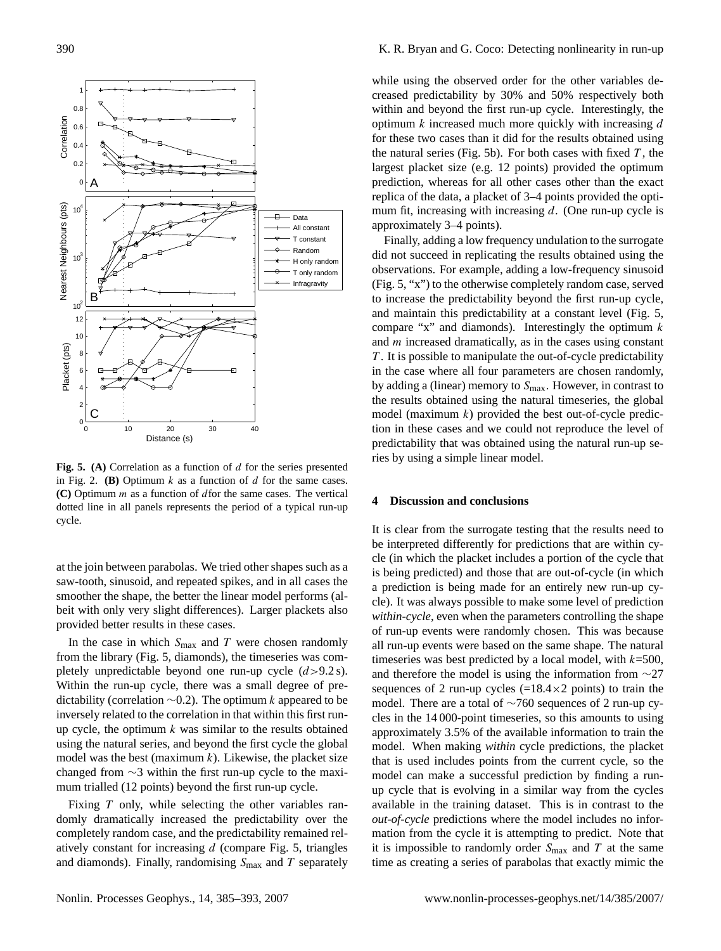

Fig. 5. (A) Correlation as a function of d for the series presented in Fig. 2. **(B)** Optimum  $k$  as a function of  $d$  for the same cases. **(C)** Optimum m as a function of dfor the same cases. The vertical dotted line in all panels represents the period of a typical run-up cycle.

at the join between parabolas. We tried other shapes such as a saw-tooth, sinusoid, and repeated spikes, and in all cases the smoother the shape, the better the linear model performs (albeit with only very slight differences). Larger plackets also provided better results in these cases.

In the case in which  $S_{\text{max}}$  and T were chosen randomly from the library (Fig. 5, diamonds), the timeseries was completely unpredictable beyond one run-up cycle  $(d>9.2 s)$ . Within the run-up cycle, there was a small degree of predictability (correlation  $\sim$ 0.2). The optimum k appeared to be inversely related to the correlation in that within this first runup cycle, the optimum  $k$  was similar to the results obtained using the natural series, and beyond the first cycle the global model was the best (maximum  $k$ ). Likewise, the placket size changed from ∼3 within the first run-up cycle to the maximum trialled (12 points) beyond the first run-up cycle.

Fixing T only, while selecting the other variables randomly dramatically increased the predictability over the completely random case, and the predictability remained relatively constant for increasing d (compare Fig. 5, triangles and diamonds). Finally, randomising  $S_{\text{max}}$  and T separately

while using the observed order for the other variables decreased predictability by 30% and 50% respectively both within and beyond the first run-up cycle. Interestingly, the optimum  $k$  increased much more quickly with increasing  $d$ for these two cases than it did for the results obtained using the natural series (Fig. 5b). For both cases with fixed  $T$ , the largest placket size (e.g. 12 points) provided the optimum prediction, whereas for all other cases other than the exact replica of the data, a placket of 3–4 points provided the optimum fit, increasing with increasing  $d$ . (One run-up cycle is approximately 3–4 points).

Finally, adding a low frequency undulation to the surrogate did not succeed in replicating the results obtained using the observations. For example, adding a low-frequency sinusoid (Fig. 5, "x") to the otherwise completely random case, served to increase the predictability beyond the first run-up cycle, and maintain this predictability at a constant level (Fig. 5, compare "x" and diamonds). Interestingly the optimum  $k$ and m increased dramatically, as in the cases using constant T. It is possible to manipulate the out-of-cycle predictability in the case where all four parameters are chosen randomly, by adding a (linear) memory to  $S_{\text{max}}$ . However, in contrast to the results obtained using the natural timeseries, the global model (maximum  $k$ ) provided the best out-of-cycle prediction in these cases and we could not reproduce the level of predictability that was obtained using the natural run-up series by using a simple linear model.

### **4 Discussion and conclusions**

It is clear from the surrogate testing that the results need to be interpreted differently for predictions that are within cycle (in which the placket includes a portion of the cycle that is being predicted) and those that are out-of-cycle (in which a prediction is being made for an entirely new run-up cycle). It was always possible to make some level of prediction *within-cycle*, even when the parameters controlling the shape of run-up events were randomly chosen. This was because all run-up events were based on the same shape. The natural timeseries was best predicted by a local model, with  $k=500$ , and therefore the model is using the information from ∼27 sequences of 2 run-up cycles  $(=18.4\times2$  points) to train the model. There are a total of ∼760 sequences of 2 run-up cycles in the 14 000-point timeseries, so this amounts to using approximately 3.5% of the available information to train the model. When making *within* cycle predictions, the placket that is used includes points from the current cycle, so the model can make a successful prediction by finding a runup cycle that is evolving in a similar way from the cycles available in the training dataset. This is in contrast to the *out-of-cycle* predictions where the model includes no information from the cycle it is attempting to predict. Note that it is impossible to randomly order  $S_{\text{max}}$  and T at the same time as creating a series of parabolas that exactly mimic the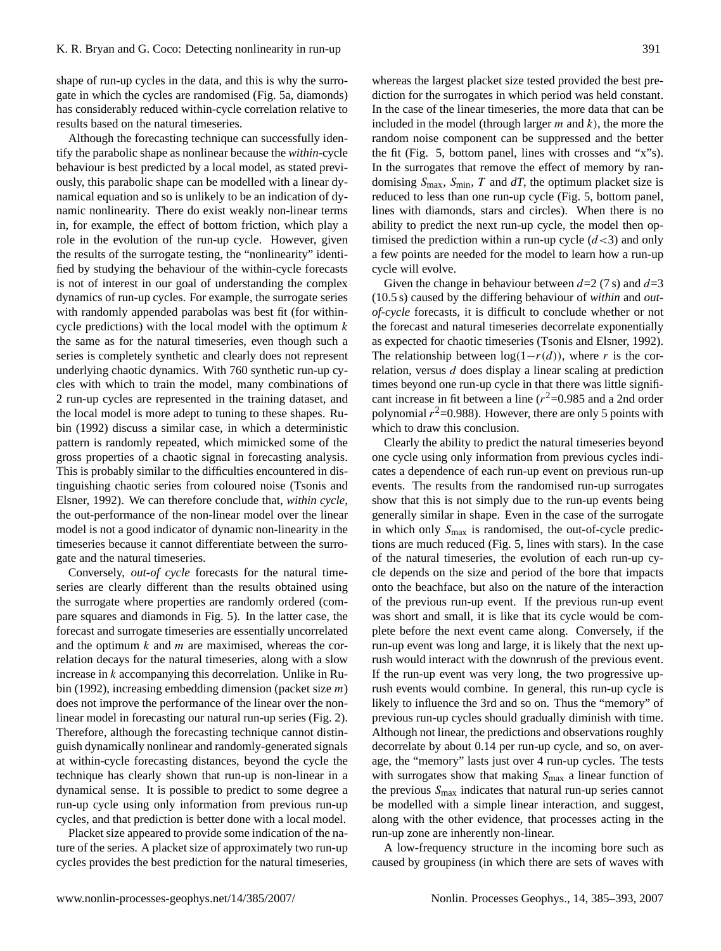shape of run-up cycles in the data, and this is why the surrogate in which the cycles are randomised (Fig. 5a, diamonds) has considerably reduced within-cycle correlation relative to results based on the natural timeseries.

Although the forecasting technique can successfully identify the parabolic shape as nonlinear because the *within*-cycle behaviour is best predicted by a local model, as stated previously, this parabolic shape can be modelled with a linear dynamical equation and so is unlikely to be an indication of dynamic nonlinearity. There do exist weakly non-linear terms in, for example, the effect of bottom friction, which play a role in the evolution of the run-up cycle. However, given the results of the surrogate testing, the "nonlinearity" identified by studying the behaviour of the within-cycle forecasts is not of interest in our goal of understanding the complex dynamics of run-up cycles. For example, the surrogate series with randomly appended parabolas was best fit (for withincycle predictions) with the local model with the optimum  $k$ the same as for the natural timeseries, even though such a series is completely synthetic and clearly does not represent underlying chaotic dynamics. With 760 synthetic run-up cycles with which to train the model, many combinations of 2 run-up cycles are represented in the training dataset, and the local model is more adept to tuning to these shapes. Rubin (1992) discuss a similar case, in which a deterministic pattern is randomly repeated, which mimicked some of the gross properties of a chaotic signal in forecasting analysis. This is probably similar to the difficulties encountered in distinguishing chaotic series from coloured noise (Tsonis and Elsner, 1992). We can therefore conclude that, *within cycle*, the out-performance of the non-linear model over the linear model is not a good indicator of dynamic non-linearity in the timeseries because it cannot differentiate between the surrogate and the natural timeseries.

Conversely, *out-of cycle* forecasts for the natural timeseries are clearly different than the results obtained using the surrogate where properties are randomly ordered (compare squares and diamonds in Fig. 5). In the latter case, the forecast and surrogate timeseries are essentially uncorrelated and the optimum  $k$  and  $m$  are maximised, whereas the correlation decays for the natural timeseries, along with a slow increase in k accompanying this decorrelation. Unlike in Rubin (1992), increasing embedding dimension (packet size m) does not improve the performance of the linear over the nonlinear model in forecasting our natural run-up series (Fig. 2). Therefore, although the forecasting technique cannot distinguish dynamically nonlinear and randomly-generated signals at within-cycle forecasting distances, beyond the cycle the technique has clearly shown that run-up is non-linear in a dynamical sense. It is possible to predict to some degree a run-up cycle using only information from previous run-up cycles, and that prediction is better done with a local model.

Placket size appeared to provide some indication of the nature of the series. A placket size of approximately two run-up cycles provides the best prediction for the natural timeseries,

whereas the largest placket size tested provided the best prediction for the surrogates in which period was held constant. In the case of the linear timeseries, the more data that can be included in the model (through larger  $m$  and  $k$ ), the more the random noise component can be suppressed and the better the fit (Fig. 5, bottom panel, lines with crosses and "x"s). In the surrogates that remove the effect of memory by randomising  $S_{\text{max}}$ ,  $S_{\text{min}}$ , T and dT, the optimum placket size is reduced to less than one run-up cycle (Fig. 5, bottom panel, lines with diamonds, stars and circles). When there is no ability to predict the next run-up cycle, the model then optimised the prediction within a run-up cycle  $(d<3)$  and only a few points are needed for the model to learn how a run-up cycle will evolve.

Given the change in behaviour between  $d=2$  (7 s) and  $d=3$ (10.5 s) caused by the differing behaviour of *within* and *outof-cycle* forecasts, it is difficult to conclude whether or not the forecast and natural timeseries decorrelate exponentially as expected for chaotic timeseries (Tsonis and Elsner, 1992). The relationship between  $log(1-r(d))$ , where r is the correlation, versus d does display a linear scaling at prediction times beyond one run-up cycle in that there was little significant increase in fit between a line  $(r^2=0.985$  and a 2nd order polynomial  $r^2$ =0.988). However, there are only 5 points with which to draw this conclusion.

Clearly the ability to predict the natural timeseries beyond one cycle using only information from previous cycles indicates a dependence of each run-up event on previous run-up events. The results from the randomised run-up surrogates show that this is not simply due to the run-up events being generally similar in shape. Even in the case of the surrogate in which only  $S_{\text{max}}$  is randomised, the out-of-cycle predictions are much reduced (Fig. 5, lines with stars). In the case of the natural timeseries, the evolution of each run-up cycle depends on the size and period of the bore that impacts onto the beachface, but also on the nature of the interaction of the previous run-up event. If the previous run-up event was short and small, it is like that its cycle would be complete before the next event came along. Conversely, if the run-up event was long and large, it is likely that the next uprush would interact with the downrush of the previous event. If the run-up event was very long, the two progressive uprush events would combine. In general, this run-up cycle is likely to influence the 3rd and so on. Thus the "memory" of previous run-up cycles should gradually diminish with time. Although not linear, the predictions and observations roughly decorrelate by about 0.14 per run-up cycle, and so, on average, the "memory" lasts just over 4 run-up cycles. The tests with surrogates show that making  $S_{\text{max}}$  a linear function of the previous  $S_{\text{max}}$  indicates that natural run-up series cannot be modelled with a simple linear interaction, and suggest, along with the other evidence, that processes acting in the run-up zone are inherently non-linear.

A low-frequency structure in the incoming bore such as caused by groupiness (in which there are sets of waves with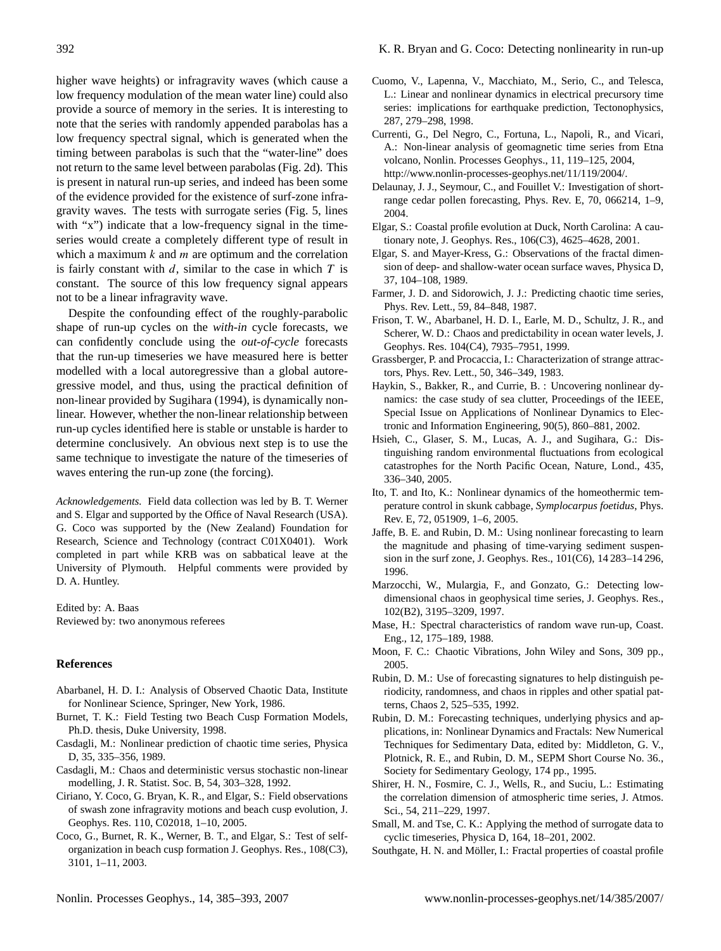higher wave heights) or infragravity waves (which cause a low frequency modulation of the mean water line) could also provide a source of memory in the series. It is interesting to note that the series with randomly appended parabolas has a low frequency spectral signal, which is generated when the timing between parabolas is such that the "water-line" does not return to the same level between parabolas (Fig. 2d). This is present in natural run-up series, and indeed has been some of the evidence provided for the existence of surf-zone infragravity waves. The tests with surrogate series (Fig. 5, lines with "x") indicate that a low-frequency signal in the timeseries would create a completely different type of result in which a maximum  $k$  and  $m$  are optimum and the correlation is fairly constant with  $d$ , similar to the case in which  $T$  is constant. The source of this low frequency signal appears not to be a linear infragravity wave.

Despite the confounding effect of the roughly-parabolic shape of run-up cycles on the *with-in* cycle forecasts, we can confidently conclude using the *out-of-cycle* forecasts that the run-up timeseries we have measured here is better modelled with a local autoregressive than a global autoregressive model, and thus, using the practical definition of non-linear provided by Sugihara (1994), is dynamically nonlinear. However, whether the non-linear relationship between run-up cycles identified here is stable or unstable is harder to determine conclusively. An obvious next step is to use the same technique to investigate the nature of the timeseries of waves entering the run-up zone (the forcing).

*Acknowledgements.* Field data collection was led by B. T. Werner and S. Elgar and supported by the Office of Naval Research (USA). G. Coco was supported by the (New Zealand) Foundation for Research, Science and Technology (contract C01X0401). Work completed in part while KRB was on sabbatical leave at the University of Plymouth. Helpful comments were provided by D. A. Huntley.

Edited by: A. Baas Reviewed by: two anonymous referees

### **References**

- Abarbanel, H. D. I.: Analysis of Observed Chaotic Data, Institute for Nonlinear Science, Springer, New York, 1986.
- Burnet, T. K.: Field Testing two Beach Cusp Formation Models, Ph.D. thesis, Duke University, 1998.
- Casdagli, M.: Nonlinear prediction of chaotic time series, Physica D, 35, 335–356, 1989.
- Casdagli, M.: Chaos and deterministic versus stochastic non-linear modelling, J. R. Statist. Soc. B, 54, 303–328, 1992.
- Ciriano, Y. Coco, G. Bryan, K. R., and Elgar, S.: Field observations of swash zone infragravity motions and beach cusp evolution, J. Geophys. Res. 110, C02018, 1–10, 2005.
- Coco, G., Burnet, R. K., Werner, B. T., and Elgar, S.: Test of selforganization in beach cusp formation J. Geophys. Res., 108(C3), 3101, 1–11, 2003.
- Cuomo, V., Lapenna, V., Macchiato, M., Serio, C., and Telesca, L.: Linear and nonlinear dynamics in electrical precursory time series: implications for earthquake prediction, Tectonophysics, 287, 279–298, 1998.
- Currenti, G., Del Negro, C., Fortuna, L., Napoli, R., and Vicari, A.: Non-linear analysis of geomagnetic time series from Etna volcano, Nonlin. Processes Geophys., 11, 119–125, 2004, [http://www.nonlin-processes-geophys.net/11/119/2004/.](http://www.nonlin-processes-geophys.net/11/119/2004/)
- Delaunay, J. J., Seymour, C., and Fouillet V.: Investigation of shortrange cedar pollen forecasting, Phys. Rev. E, 70, 066214, 1–9, 2004.
- Elgar, S.: Coastal profile evolution at Duck, North Carolina: A cautionary note, J. Geophys. Res., 106(C3), 4625–4628, 2001.
- Elgar, S. and Mayer-Kress, G.: Observations of the fractal dimension of deep- and shallow-water ocean surface waves, Physica D, 37, 104–108, 1989.
- Farmer, J. D. and Sidorowich, J. J.: Predicting chaotic time series, Phys. Rev. Lett., 59, 84–848, 1987.
- Frison, T. W., Abarbanel, H. D. I., Earle, M. D., Schultz, J. R., and Scherer, W. D.: Chaos and predictability in ocean water levels, J. Geophys. Res. 104(C4), 7935–7951, 1999.
- Grassberger, P. and Procaccia, I.: Characterization of strange attractors, Phys. Rev. Lett., 50, 346–349, 1983.
- Haykin, S., Bakker, R., and Currie, B. : Uncovering nonlinear dynamics: the case study of sea clutter, Proceedings of the IEEE, Special Issue on Applications of Nonlinear Dynamics to Electronic and Information Engineering, 90(5), 860–881, 2002.
- Hsieh, C., Glaser, S. M., Lucas, A. J., and Sugihara, G.: Distinguishing random environmental fluctuations from ecological catastrophes for the North Pacific Ocean, Nature, Lond., 435, 336–340, 2005.
- Ito, T. and Ito, K.: Nonlinear dynamics of the homeothermic temperature control in skunk cabbage, *Symplocarpus foetidus*, Phys. Rev. E, 72, 051909, 1–6, 2005.
- Jaffe, B. E. and Rubin, D. M.: Using nonlinear forecasting to learn the magnitude and phasing of time-varying sediment suspension in the surf zone, J. Geophys. Res., 101(C6), 14 283–14 296, 1996.
- Marzocchi, W., Mulargia, F., and Gonzato, G.: Detecting lowdimensional chaos in geophysical time series, J. Geophys. Res., 102(B2), 3195–3209, 1997.
- Mase, H.: Spectral characteristics of random wave run-up, Coast. Eng., 12, 175–189, 1988.
- Moon, F. C.: Chaotic Vibrations, John Wiley and Sons, 309 pp., 2005.
- Rubin, D. M.: Use of forecasting signatures to help distinguish periodicity, randomness, and chaos in ripples and other spatial patterns, Chaos 2, 525–535, 1992.
- Rubin, D. M.: Forecasting techniques, underlying physics and applications, in: Nonlinear Dynamics and Fractals: New Numerical Techniques for Sedimentary Data, edited by: Middleton, G. V., Plotnick, R. E., and Rubin, D. M., SEPM Short Course No. 36., Society for Sedimentary Geology, 174 pp., 1995.
- Shirer, H. N., Fosmire, C. J., Wells, R., and Suciu, L.: Estimating the correlation dimension of atmospheric time series, J. Atmos. Sci., 54, 211–229, 1997.
- Small, M. and Tse, C. K.: Applying the method of surrogate data to cyclic timeseries, Physica D, 164, 18–201, 2002.
- Southgate, H. N. and Möller, I.: Fractal properties of coastal profile